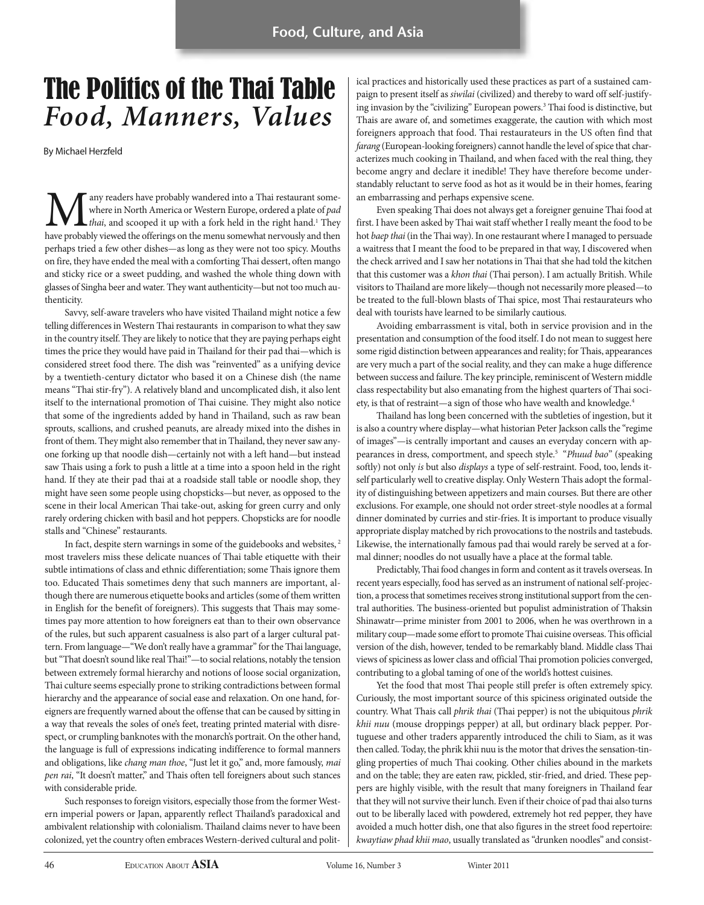## The Politics of the Thai Table *Food, Manners, Values*

By Michael Herzfeld

any readers have probably wandered into a Thai restaurant somewhere in North America or Western Europe, ordered a plate of pad  $-$ *thai*, and scooped it up with a fork held in the right hand.<sup>1</sup> They have probably viewed the offerings on the menu somewhat nervously and then perhaps tried a few other dishes—as long as they were not too spicy. Mouths on fire, they have ended the meal with a comforting Thai dessert, often mango and sticky rice or a sweet pudding, and washed the whole thing down with glasses of Singha beer and water. They want authenticity—but not too much authenticity.

Savvy, self-aware travelers who have visited Thailand might notice a few telling differences in Western Thai restaurants in comparison to what they saw in the country itself. They are likely to notice that they are paying perhaps eight times the price they would have paid in Thailand for their pad thai—which is considered street food there. The dish was "reinvented" as a unifying device by a twentieth-century dictator who based it on a Chinese dish (the name means "Thai stir-fry"). A relatively bland and uncomplicated dish, it also lent itself to the international promotion of Thai cuisine. They might also notice that some of the ingredients added by hand in Thailand, such as raw bean sprouts, scallions, and crushed peanuts, are already mixed into the dishes in front of them. They might also remember that in Thailand, they never saw anyone forking up that noodle dish—certainly not with a left hand—but instead saw Thais using a fork to push a little at a time into a spoon held in the right hand. If they ate their pad thai at a roadside stall table or noodle shop, they might have seen some people using chopsticks—but never, as opposed to the scene in their local American Thai take-out, asking for green curry and only rarely ordering chicken with basil and hot peppers. Chopsticks are for noodle stalls and "Chinese" restaurants.

In fact, despite stern warnings in some of the guidebooks and websites, <sup>2</sup> most travelers miss these delicate nuances of Thai table etiquette with their subtle intimations of class and ethnic differentiation; some Thais ignore them too. Educated Thais sometimes deny that such manners are important, although there are numerous etiquette books and articles (some of them written in English for the benefit of foreigners). This suggests that Thais may sometimes pay more attention to how foreigners eat than to their own observance of the rules, but such apparent casualness is also part of a larger cultural pattern. From language—"We don't really have a grammar" for the Thai language, but "That doesn't sound like real Thai!"—to social relations, notably the tension between extremely formal hierarchy and notions of loose social organization, Thai culture seems especially prone to striking contradictions between formal hierarchy and the appearance of social ease and relaxation. On one hand, foreigners are frequently warned about the offense that can be caused by sitting in a way that reveals the soles of one's feet, treating printed material with disrespect, or crumpling banknotes with the monarch's portrait. On the other hand, the language is full of expressions indicating indifference to formal manners and obligations, like chang man thoe, "Just let it go," and, more famously, mai pen rai, "It doesn't matter," and Thais often tell foreigners about such stances with considerable pride.

Such responses to foreign visitors, especially those from the former Western imperial powers or Japan, apparently reflect Thailand's paradoxical and ambivalent relationship with colonialism. Thailand claims never to have been colonized, yet the country often embraces Western-derived cultural and political practices and historically used these practices as part of a sustained campaign to present itself as siwilai (civilized) and thereby to ward off self-justifying invasion by the "civilizing" European powers.<sup>3</sup> Thai food is distinctive, but Thais are aware of, and sometimes exaggerate, the caution with which most foreigners approach that food. Thai restaurateurs in the US often find that farang (European-looking foreigners) cannot handle the level of spice that characterizes much cooking in Thailand, and when faced with the real thing, they become angry and declare it inedible! They have therefore become understandably reluctant to serve food as hot as it would be in their homes, fearing an embarrassing and perhaps expensive scene.

Even speaking Thai does not always get a foreigner genuine Thai food at first. I have been asked by Thai wait staff whether I really meant the food to be hot baep thai (in the Thai way). In one restaurant where I managed to persuade a waitress that I meant the food to be prepared in that way, I discovered when the check arrived and I saw her notations in Thai that she had told the kitchen that this customer was a khon thai (Thai person). I am actually British. While visitors to Thailand are more likely—though not necessarily more pleased—to be treated to the full-blown blasts of Thai spice, most Thai restaurateurs who deal with tourists have learned to be similarly cautious.

Avoiding embarrassment is vital, both in service provision and in the presentation and consumption of the food itself. I do not mean to suggest here some rigid distinction between appearances and reality; for Thais, appearances are very much a part of the social reality, and they can make a huge difference between success and failure. The key principle, reminiscent of Western middle class respectability but also emanating from the highest quarters of Thai society, is that of restraint—a sign of those who have wealth and knowledge.<sup>4</sup>

Thailand has long been concerned with the subtleties of ingestion, but it is also a country where display—what historian Peter Jackson calls the "regime of images"—is centrally important and causes an everyday concern with appearances in dress, comportment, and speech style.<sup>5</sup> "Phuud bao" (speaking softly) not only is but also displays a type of self-restraint. Food, too, lends itself particularly well to creative display. Only Western Thais adopt the formality of distinguishing between appetizers and main courses. But there are other exclusions. For example, one should not order street-style noodles at a formal dinner dominated by curries and stir-fries. It is important to produce visually appropriate display matched by rich provocations to the nostrils and tastebuds. Likewise, the internationally famous pad thai would rarely be served at a formal dinner; noodles do not usually have a place at the formal table.

Predictably, Thai food changes in form and content as it travels overseas. In recent years especially, food has served as an instrument of national self-projection, a process that sometimes receives strong institutional support from the central authorities. The business-oriented but populist administration of Thaksin Shinawatr—prime minister from 2001 to 2006, when he was overthrown in a military coup—made some effort to promote Thai cuisine overseas. This official version of the dish, however, tended to be remarkably bland. Middle class Thai views of spiciness as lower class and official Thai promotion policies converged, contributing to a global taming of one of the world's hottest cuisines.

Yet the food that most Thai people still prefer is often extremely spicy. Curiously, the most important source of this spiciness originated outside the country. What Thais call phrik thai (Thai pepper) is not the ubiquitous phrik khii nuu (mouse droppings pepper) at all, but ordinary black pepper. Portuguese and other traders apparently introduced the chili to Siam, as it was then called. Today, the phrik khii nuu is the motor that drives the sensation-tingling properties of much Thai cooking. Other chilies abound in the markets and on the table; they are eaten raw, pickled, stir-fried, and dried. These peppers are highly visible, with the result that many foreigners in Thailand fear that they will not survive their lunch. Even if their choice of pad thai also turns out to be liberally laced with powdered, extremely hot red pepper, they have avoided a much hotter dish, one that also figures in the street food repertoire: kwaytiaw phad khii mao, usually translated as "drunken noodles" and consist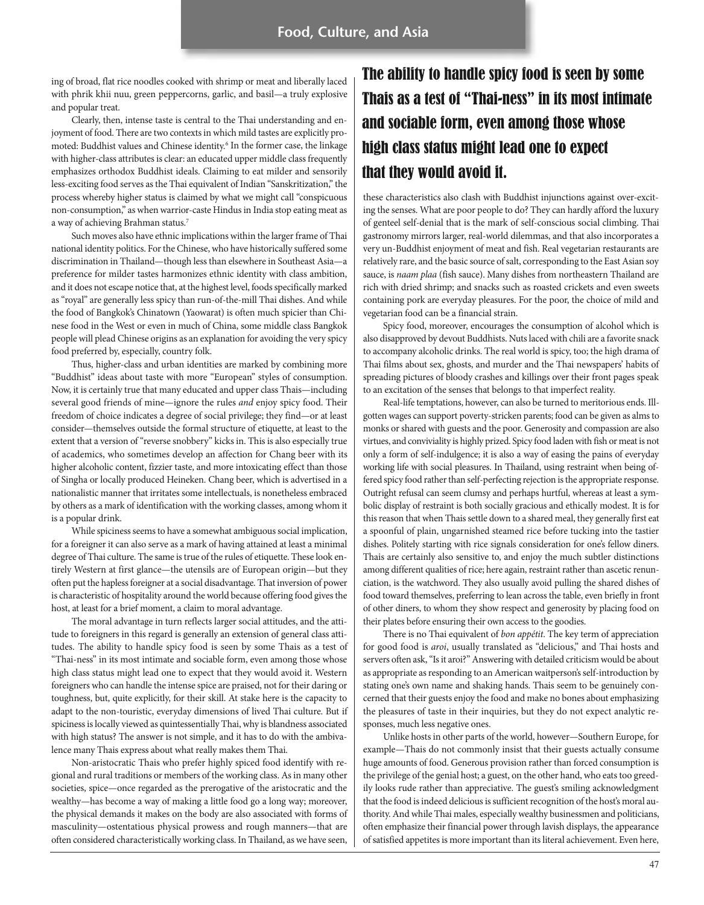ing of broad, flat rice noodles cooked with shrimp or meat and liberally laced with phrik khii nuu, green peppercorns, garlic, and basil—a truly explosive and popular treat.

Clearly, then, intense taste is central to the Thai understanding and enjoyment of food. There are two contexts in which mild tastes are explicitly promoted: Buddhist values and Chinese identity.<sup>6</sup> In the former case, the linkage with higher-class attributes is clear: an educated upper middle class frequently emphasizes orthodox Buddhist ideals. Claiming to eat milder and sensorily less-exciting food serves as the Thai equivalent of Indian "Sanskritization," the process whereby higher status is claimed by what we might call "conspicuous non-consumption," as when warrior-caste Hindus in India stop eating meat as a way of achieving Brahman status.7

Such moves also have ethnic implications within the larger frame of Thai national identity politics. For the Chinese, who have historically suffered some discrimination in Thailand—though less than elsewhere in Southeast Asia—a preference for milder tastes harmonizes ethnic identity with class ambition, and it does not escape notice that, at the highest level, foods specifically marked as "royal" are generally less spicy than run-of-the-mill Thai dishes. And while the food of Bangkok's Chinatown (Yaowarat) is often much spicier than Chinese food in the West or even in much of China, some middle class Bangkok people will plead Chinese origins as an explanation for avoiding the very spicy food preferred by, especially, country folk.

Thus, higher-class and urban identities are marked by combining more "Buddhist" ideas about taste with more "European" styles of consumption. Now, it is certainly true that many educated and upper class Thais—including several good friends of mine—ignore the rules and enjoy spicy food. Their freedom of choice indicates a degree of social privilege; they find—or at least consider—themselves outside the formal structure of etiquette, at least to the extent that a version of "reverse snobbery" kicks in. This is also especially true of academics, who sometimes develop an affection for Chang beer with its higher alcoholic content, fizzier taste, and more intoxicating effect than those of Singha or locally produced Heineken. Chang beer, which is advertised in a nationalistic manner that irritates some intellectuals, is nonetheless embraced by others as a mark of identification with the working classes, among whom it is a popular drink.

While spiciness seems to have a somewhat ambiguous social implication, for a foreigner it can also serve as a mark of having attained at least a minimal degree of Thai culture. The same is true of the rules of etiquette. These look entirely Western at first glance—the utensils are of European origin—but they often put the hapless foreigner at a social disadvantage. That inversion of power is characteristic of hospitality around the world because offering food gives the host, at least for a brief moment, a claim to moral advantage.

The moral advantage in turn reflects larger social attitudes, and the attitude to foreigners in this regard is generally an extension of general class attitudes. The ability to handle spicy food is seen by some Thais as a test of "Thai-ness" in its most intimate and sociable form, even among those whose high class status might lead one to expect that they would avoid it. Western foreigners who can handle the intense spice are praised, not for their daring or toughness, but, quite explicitly, for their skill. At stake here is the capacity to adapt to the non-touristic, everyday dimensions of lived Thai culture. But if spiciness is locally viewed as quintessentially Thai, why is blandness associated with high status? The answer is not simple, and it has to do with the ambivalence many Thais express about what really makes them Thai.

Non-aristocratic Thais who prefer highly spiced food identify with regional and rural traditions or members of the working class. As in many other societies, spice—once regarded as the prerogative of the aristocratic and the wealthy—has become a way of making a little food go a long way; moreover, the physical demands it makes on the body are also associated with forms of masculinity—ostentatious physical prowess and rough manners—that are often considered characteristically working class. In Thailand, as we have seen,

## The ability to handle spicy food is seen by some Thais as a test of "Thai-ness" in its most intimate and sociable form, even among those whose high class status might lead one to expect that they would avoid it.

these characteristics also clash with Buddhist injunctions against over-exciting the senses. What are poor people to do? They can hardly afford the luxury of genteel self-denial that is the mark of self-conscious social climbing. Thai gastronomy mirrors larger, real-world dilemmas, and that also incorporates a very un-Buddhist enjoyment of meat and fish. Real vegetarian restaurants are relatively rare, and the basic source of salt, corresponding to the East Asian soy sauce, is naam plaa (fish sauce). Many dishes from northeastern Thailand are rich with dried shrimp; and snacks such as roasted crickets and even sweets containing pork are everyday pleasures. For the poor, the choice of mild and vegetarian food can be a financial strain.

Spicy food, moreover, encourages the consumption of alcohol which is also disapproved by devout Buddhists. Nuts laced with chili are a favorite snack to accompany alcoholic drinks. The real world is spicy, too; the high drama of Thai films about sex, ghosts, and murder and the Thai newspapers' habits of spreading pictures of bloody crashes and killings over their front pages speak to an excitation of the senses that belongs to that imperfect reality.

Real-life temptations, however, can also be turned to meritorious ends. Illgotten wages can support poverty-stricken parents; food can be given as alms to monks or shared with guests and the poor. Generosity and compassion are also virtues, and conviviality is highly prized. Spicy food laden with fish or meat is not only a form of self-indulgence; it is also a way of easing the pains of everyday working life with social pleasures. In Thailand, using restraint when being offered spicy food rather than self-perfecting rejection is the appropriate response. Outright refusal can seem clumsy and perhaps hurtful, whereas at least a symbolic display of restraint is both socially gracious and ethically modest. It is for this reason that when Thais settle down to a shared meal, they generally first eat a spoonful of plain, ungarnished steamed rice before tucking into the tastier dishes. Politely starting with rice signals consideration for one's fellow diners. Thais are certainly also sensitive to, and enjoy the much subtler distinctions among different qualities of rice; here again, restraint rather than ascetic renunciation, is the watchword. They also usually avoid pulling the shared dishes of food toward themselves, preferring to lean across the table, even briefly in front of other diners, to whom they show respect and generosity by placing food on their plates before ensuring their own access to the goodies.

There is no Thai equivalent of bon appétit. The key term of appreciation for good food is aroi, usually translated as "delicious," and Thai hosts and servers often ask, "Is it aroi?" Answering with detailed criticism would be about as appropriate as responding to an American waitperson's self-introduction by stating one's own name and shaking hands. Thais seem to be genuinely concerned that their guests enjoy the food and make no bones about emphasizing the pleasures of taste in their inquiries, but they do not expect analytic responses, much less negative ones.

Unlike hosts in other parts of the world, however—Southern Europe, for example—Thais do not commonly insist that their guests actually consume huge amounts of food. Generous provision rather than forced consumption is the privilege of the genial host; a guest, on the other hand, who eats too greedily looks rude rather than appreciative. The guest's smiling acknowledgment that the food is indeed delicious is sufficient recognition of the host's moral authority. And while Thai males, especially wealthy businessmen and politicians, often emphasize their financial power through lavish displays, the appearance of satisfied appetites is more important than its literal achievement. Even here,